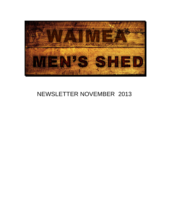

# NEWSLETTER NOVEMBER 2013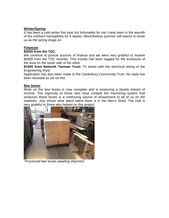## **Winter/Spring**

It has been a cold winter this year but fortunately for me I have been in the warmth of the northern hemisphere for 6 weeks. Nevertheless summer still seems to elude us as the spring drags on.

## **Finances**

## **\$3000 from the TDC.**

We continue to pursue sources of finance and we were very grateful to receive \$3000 from the TDC recently. This money has been tagged for the enclosure of the area on the south side of the shed.

**\$1500 from Network Tasman Trust:** To assist with the electrical wiring of the Engineering shed.

Application has also been made to the Canterbury Community Trust. No reply has been received as yet on this.

# **Bee boxes**

Work on the bee boxes is now complete and is producing a steady stream of income. The ingenuity of those who have created the machining system that produces these boxes is a continuing source of amazement to all of us on the sidelines. Just shows what latent talent there is in the Men's Shed. The club is very grateful to those who helped on this project.



Processed bee boxes awaiting shipment.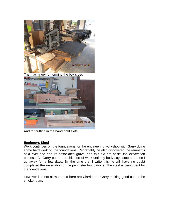

The machinery for forming the box sides



And for putting in the hand hold slots.

## **Engineers Shed**

Work continues on the foundations for the engineering workshop with Garry doing some hard work on the foundations. Regrettably he also discovered the remnants of a river bed and its associated gravel and this did not assist the excavation process. As Garry put it: I do this sort of work until my body says stop and then I go away for a few days. By the time that I write this he will have no doubt completed the excavation of the perimeter foundations. The steel is being bent for the foundations.

However it is not all work and here are Clarrie and Garry making good use of the smoko room.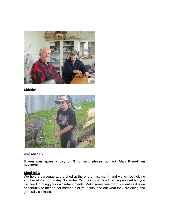

**Shirkin'**



**and workin'.**

**If you can spare a day or 3 to help please contact Alan Kissell on 0272820185.**

## **Shed BBQ**

We held a barbeque at the shed at the end of last month and we will be holding another at 4pm on Friday November 29th. As usual, food will be provided but you will need to bring your own refreshments. Make some time for this event as it is an opportunity to meet other members of your club, find out what they are doing and generally socialise.